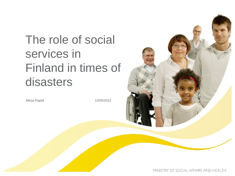# The role of social services in Finland in times of disasters

Merja Rapeli 2005/2015

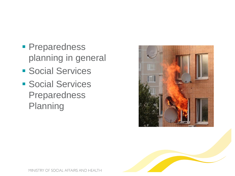- **Preparedness** planning in general
- **Social Services**
- **Social Services** Preparedness Planning



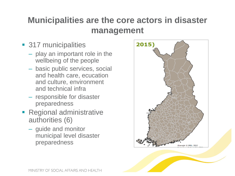### **Municipalities are the core actors in disaster management**

- **317 municipalities** 
	- play an important role in the wellbeing of the people
	- basic public services, social and health care, ecucation and culture, environment and technical infra
	- responsible for disaster preparedness
- **Regional administrative** authorities (6)
	- guide and monitor municipal level disaster preparedness



MINISTRY OF SOCIAL AFFAIRS AND HEALTH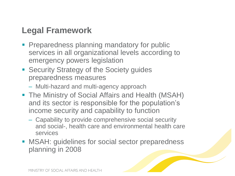#### **Legal Framework**

- **Preparedness planning mandatory for public** services in all organizational levels according to emergency powers legislation
- **Security Strategy of the Society guides** preparedness measures
	- Multi-hazard and multi-agency approach
- **The Ministry of Social Affairs and Health (MSAH)** and its sector is responsible for the population's income security and capability to function
	- Capability to provide comprehensive social security and social-, health care and environmental health care services
- **MSAH: guidelines for social sector preparedness** planning in 2008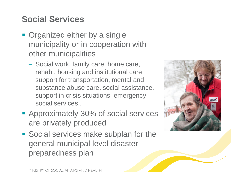# **Social Services**

- **Organized either by a single** municipality or in cooperation with other municipalities
	- Social work, family care, home care, rehab., housing and institutional care, support for transportation, mental and substance abuse care, social assistance, support in crisis situations, emergency social services..
- **Approximately 30% of social services** are privately produced
- **Social services make subplan for the** general municipal level disaster preparedness plan

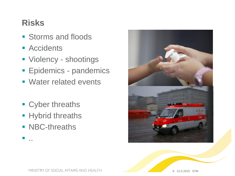#### **Risks**

- **Storms and floods**
- **Accidents**
- **Violency shootings**
- **Epidemics pandemics**
- **Water related events**
- **Cyber threaths**
- **Hybrid threaths**
- **NBC-threaths**

..



MINISTRY OF SOCIAL AFFAIRS AND HEALTH

6 12.5.2015 STM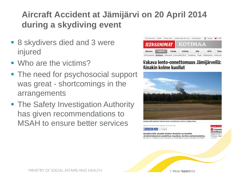# **Aircraft Accident at Jämijärvi on 20 April 2014 during a skydiving event**

- 8 skydivers died and 3 were injured
- Who are the victims?
- The need for psychosocial support was great - shortcomings in the arrangements
- **The Safety Investigation Authority** has given recommendations to MSAH to ensure better services

| 150 tuoreinta       |                |        | Mobiili Päivän lehti Lähetä vihie tai kuva Yhteystiedot          |         |                |             | Alypaa V Treffit |
|---------------------|----------------|--------|------------------------------------------------------------------|---------|----------------|-------------|------------------|
| <b>ILTA:SANOMAT</b> |                |        |                                                                  |         | <b>KOTIMAA</b> |             |                  |
| <b>Etusivu</b>      | <b>Uutiset</b> | Viihde |                                                                  | Urheilu | Saa            | <b>ISTV</b> | Talou            |
| 150 tuoreinta       | Kotimaa        |        | Ulkomaat Eurovaalit 2014 Työelämä Tiede Pääkirjoitus Hullut jutu |         |                |             |                  |

#### Vakava lento-onnettomuus Jämijärvellä: Ainakin kolme kuollut



järvellä tapahtui tuhoisa lento-onnettomuus. Kuva: Lukijan kuva

aistu: 20.4.2014 16:32, päivitetty: 20.4.2014 18:52



Jämijärvellä ainakin kolme ihmistä on kuollut pienlentokoneen pudottua maahan, kertoo pelastuslaitos.

**C**umulu **Hotellitarj** Vappuviikon 72 €/yö. Näit

7 Merja Rapubl 2015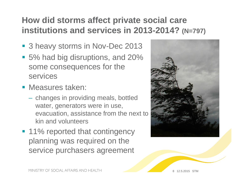### **How did storms affect private social care institutions and services in 2013-2014? (N=797)**

- 3 heavy storms in Nov-Dec 2013
- 5% had big disruptions, and 20% some consequences for the services
- **Measures taken:** 
	- changes in providing meals, bottled water, generators were in use, evacuation, assistance from the next to kin and volunteers
- 11% reported that contingency planning was required on the service purchasers agreement

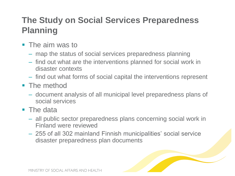# **The Study on Social Services Preparedness Planning**

- **The aim was to** 
	- map the status of social services preparedness planning
	- find out what are the interventions planned for social work in disaster contexts
	- find out what forms of social capital the interventions represent
- The method
	- document analysis of all municipal level preparedness plans of social services
- **The data** 
	- all public sector preparedness plans concerning social work in Finland were reviewed
	- 255 of all 302 mainland Finnish municipalities' social service disaster preparedness plan documents

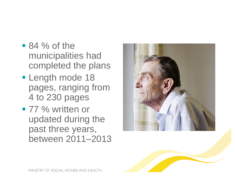- $\blacksquare$  84 % of the municipalities had completed the plans
- **Length mode 18** pages, ranging from 4 to 230 pages
- 77 % written or updated during the past three years, between 2011–2013





MINISTRY OF SOCIAL AFFAIRS AND HEALTH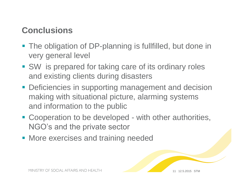#### **Conclusions**

- **The obligation of DP-planning is fullfilled, but done in** very general level
- SW is prepared for taking care of its ordinary roles and existing clients during disasters
- **Deficiencies in supporting management and decision** making with situational picture, alarming systems and information to the public
- Cooperation to be developed with other authorities, NGO's and the private sector
- **More exercises and training needed**